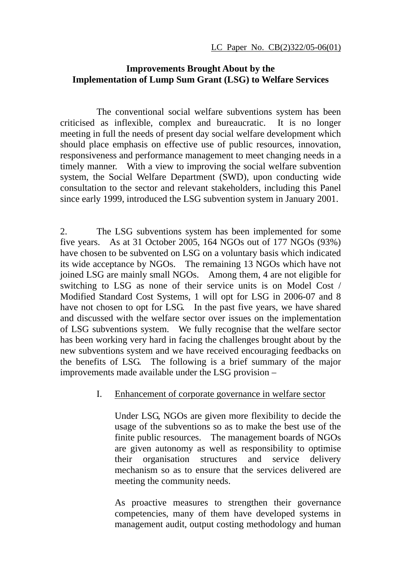## **Improvements Brought About by the Implementation of Lump Sum Grant (LSG) to Welfare Services**

 The conventional social welfare subventions system has been criticised as inflexible, complex and bureaucratic. It is no longer meeting in full the needs of present day social welfare development which should place emphasis on effective use of public resources, innovation, responsiveness and performance management to meet changing needs in a timely manner. With a view to improving the social welfare subvention system, the Social Welfare Department (SWD), upon conducting wide consultation to the sector and relevant stakeholders, including this Panel since early 1999, introduced the LSG subvention system in January 2001.

2. The LSG subventions system has been implemented for some five years. As at 31 October 2005, 164 NGOs out of 177 NGOs (93%) have chosen to be subvented on LSG on a voluntary basis which indicated its wide acceptance by NGOs. The remaining 13 NGOs which have not joined LSG are mainly small NGOs. Among them, 4 are not eligible for switching to LSG as none of their service units is on Model Cost / Modified Standard Cost Systems, 1 will opt for LSG in 2006-07 and 8 have not chosen to opt for LSG. In the past five years, we have shared and discussed with the welfare sector over issues on the implementation of LSG subventions system. We fully recognise that the welfare sector has been working very hard in facing the challenges brought about by the new subventions system and we have received encouraging feedbacks on the benefits of LSG. The following is a brief summary of the major improvements made available under the LSG provision –

## I. Enhancement of corporate governance in welfare sector

Under LSG, NGOs are given more flexibility to decide the usage of the subventions so as to make the best use of the finite public resources. The management boards of NGOs are given autonomy as well as responsibility to optimise their organisation structures and service delivery mechanism so as to ensure that the services delivered are meeting the community needs.

As proactive measures to strengthen their governance competencies, many of them have developed systems in management audit, output costing methodology and human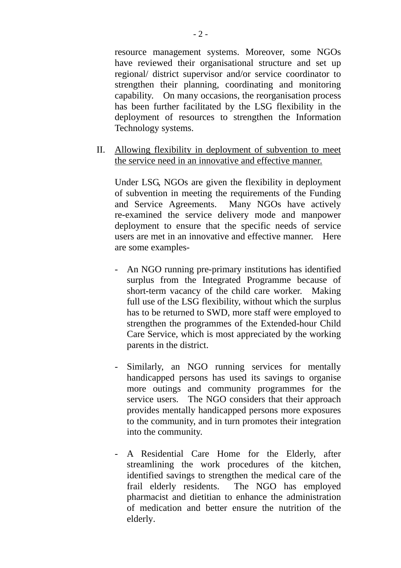resource management systems. Moreover, some NGOs have reviewed their organisational structure and set up regional/ district supervisor and/or service coordinator to strengthen their planning, coordinating and monitoring capability. On many occasions, the reorganisation process has been further facilitated by the LSG flexibility in the deployment of resources to strengthen the Information Technology systems.

II. Allowing flexibility in deployment of subvention to meet the service need in an innovative and effective manner.

Under LSG, NGOs are given the flexibility in deployment of subvention in meeting the requirements of the Funding and Service Agreements. Many NGOs have actively re-examined the service delivery mode and manpower deployment to ensure that the specific needs of service users are met in an innovative and effective manner. Here are some examples-

- An NGO running pre-primary institutions has identified surplus from the Integrated Programme because of short-term vacancy of the child care worker. Making full use of the LSG flexibility, without which the surplus has to be returned to SWD, more staff were employed to strengthen the programmes of the Extended-hour Child Care Service, which is most appreciated by the working parents in the district.
- Similarly, an NGO running services for mentally handicapped persons has used its savings to organise more outings and community programmes for the service users. The NGO considers that their approach provides mentally handicapped persons more exposures to the community, and in turn promotes their integration into the community.
- A Residential Care Home for the Elderly, after streamlining the work procedures of the kitchen, identified savings to strengthen the medical care of the frail elderly residents. The NGO has employed pharmacist and dietitian to enhance the administration of medication and better ensure the nutrition of the elderly.